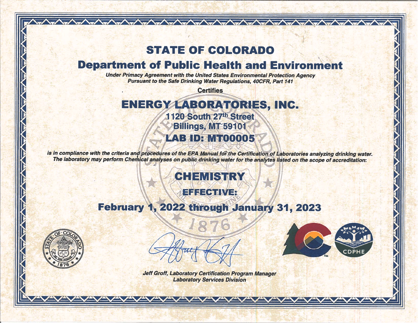## **STATE OF COLORADO**

 $\sqrt{2\pi\sqrt{2\pi\sqrt{2\pi\sqrt{2\pi\sqrt{2\pi\sqrt{2\pi\sqrt{2\pi\sqrt{2\pi\sqrt{2\pi\sqrt{2\pi\sqrt{2\pi\sqrt{2\pi\sqrt{2\pi\sqrt{2\pi\sqrt{2\pi\sqrt{2\pi\sqrt{2\pi\sqrt{2\pi\sqrt{2\pi\sqrt{2\pi\sqrt{2\pi\sqrt{2\pi\sqrt{2\pi\sqrt{2\pi\sqrt{2\pi\sqrt{2\pi\sqrt{2\pi\sqrt{2\pi\sqrt{2\pi\sqrt{2\pi\sqrt{2\pi\sqrt{2\pi\sqrt{2\pi\sqrt{2\pi\sqrt{2\pi\sqrt{2\pi\sqrt{2$ 

## **Department of Public Health and Environment**

**Under Primacy Agreement with the United States Environmental Protection Agency Pursuant to the Safe Drinking Water Regulations, 40CFR, Part 141** 

**Certifies** 

## ENERGY LABORATORIES, INC. 1120 South 27th Street Billings, MT 59101 **LAB ID: MT00005**

is in compliance with the criteria and procedures of the EPA Manual for the Certification of Laboratories analyzing drinking water. The laboratory may perform Chemical analyses on public drinking water for the analytes listed on the scope of accreditation:

# **CHEMISTRY**

## EFFECTIVE

## February 1, 2022 through January 31, 2023







**Jeff Groff, Laboratory Certification Program Manager Laboratory Services Division**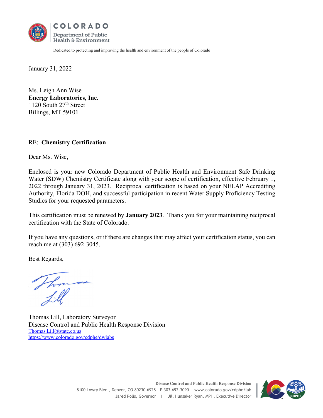

Dedicated to protecting and improving the health and environment of the people of Colorado

January 31, 2022

Ms. Leigh Ann Wise **Energy Laboratories, Inc.**  1120 South 27<sup>th</sup> Street Billings, MT 59101

#### RE: **Chemistry Certification**

Dear Ms. Wise,

Enclosed is your new Colorado Department of Public Health and Environment Safe Drinking Water (SDW) Chemistry Certificate along with your scope of certification, effective February 1, 2022 through January 31, 2023. Reciprocal certification is based on your NELAP Accrediting Authority, Florida DOH, and successful participation in recent Water Supply Proficiency Testing Studies for your requested parameters.

This certification must be renewed by **January 2023**. Thank you for your maintaining reciprocal certification with the State of Colorado.

If you have any questions, or if there are changes that may affect your certification status, you can reach me at (303) 692-3045.

Best Regards,

M P

Thomas Lill, Laboratory Surveyor Disease Control and Public Health Response Division Thomas.Lill@state.co.us https://www.colorado.gov/cdphe/dwlabs

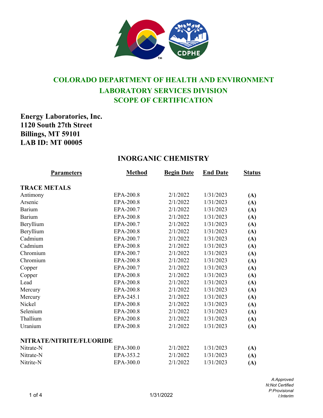

### **COLORADO DEPARTMENT OF HEALTH AND ENVIRONMENT LABORATORY SERVICES DIVISION SCOPE OF CERTIFICATION**

#### **Energy Laboratories, Inc. 1120 South 27th Street Billings, MT 59101 LAB ID: MT 00005**

#### **INORGANIC CHEMISTRY**

| Parameters               | <b>Method</b> | <b>Begin Date</b> | <b>End Date</b> | <b>Status</b> |
|--------------------------|---------------|-------------------|-----------------|---------------|
| <b>TRACE METALS</b>      |               |                   |                 |               |
| Antimony                 | EPA-200.8     | 2/1/2022          | 1/31/2023       | (A)           |
| Arsenic                  | EPA-200.8     | 2/1/2022          | 1/31/2023       | (A)           |
| Barium                   | EPA-200.7     | 2/1/2022          | 1/31/2023       | (A)           |
| <b>Barium</b>            | EPA-200.8     | 2/1/2022          | 1/31/2023       | (A)           |
| Beryllium                | EPA-200.7     | 2/1/2022          | 1/31/2023       | (A)           |
| Beryllium                | EPA-200.8     | 2/1/2022          | 1/31/2023       | (A)           |
| Cadmium                  | EPA-200.7     | 2/1/2022          | 1/31/2023       | (A)           |
| Cadmium                  | EPA-200.8     | 2/1/2022          | 1/31/2023       | (A)           |
| Chromium                 | EPA-200.7     | 2/1/2022          | 1/31/2023       | (A)           |
| Chromium                 | EPA-200.8     | 2/1/2022          | 1/31/2023       | (A)           |
| Copper                   | EPA-200.7     | 2/1/2022          | 1/31/2023       | (A)           |
| Copper                   | EPA-200.8     | 2/1/2022          | 1/31/2023       | (A)           |
| Lead                     | EPA-200.8     | 2/1/2022          | 1/31/2023       | (A)           |
| Mercury                  | EPA-200.8     | 2/1/2022          | 1/31/2023       | (A)           |
| Mercury                  | EPA-245.1     | 2/1/2022          | 1/31/2023       | (A)           |
| Nickel                   | EPA-200.8     | 2/1/2022          | 1/31/2023       | (A)           |
| Selenium                 | EPA-200.8     | 2/1/2022          | 1/31/2023       | (A)           |
| Thallium                 | EPA-200.8     | 2/1/2022          | 1/31/2023       | (A)           |
| Uranium                  | EPA-200.8     | 2/1/2022          | 1/31/2023       | (A)           |
| NITRATE/NITRITE/FLUORIDE |               |                   |                 |               |
| Nitrate-N                | EPA-300.0     | 2/1/2022          | 1/31/2023       | (A)           |
| Nitrate-N                | EPA-353.2     | 2/1/2022          | 1/31/2023       | (A)           |
| Nitrite-N                | EPA-300.0     | 2/1/2022          | 1/31/2023       | (A)           |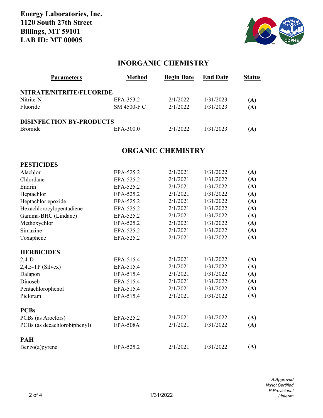

#### **INORGANIC CHEMISTRY**

| <b>Parameters</b>               | <b>Method</b> | <b>Begin Date</b> | <b>End Date</b> | <b>Status</b> |
|---------------------------------|---------------|-------------------|-----------------|---------------|
| NITRATE/NITRITE/FLUORIDE        |               |                   |                 |               |
| Nitrite-N                       | EPA-353.2     | 2/1/2022          | 1/31/2023       | (A)           |
| Fluoride                        | SM 4500-F C   | 2/1/2022          | 1/31/2023       | (A)           |
| <b>DISINFECTION BY-PRODUCTS</b> |               |                   |                 |               |
| <b>Bromide</b>                  | EPA-300.0     | 2/1/2022          | 1/31/2023       | (A)           |

#### **ORGANIC CHEMISTRY**

| <b>PESTICIDES</b>            |                 |          |           |     |
|------------------------------|-----------------|----------|-----------|-----|
| Alachlor                     | EPA-525.2       | 2/1/2021 | 1/31/2022 | (A) |
| Chlordane                    | EPA-525.2       | 2/1/2021 | 1/31/2022 | (A) |
| Endrin                       | EPA-525.2       | 2/1/2021 | 1/31/2022 | (A) |
| Heptachlor                   | EPA-525.2       | 2/1/2021 | 1/31/2022 | (A) |
| Heptachlor epoxide           | EPA-525.2       | 2/1/2021 | 1/31/2022 | (A) |
| Hexachlorocylopentadiene     | EPA-525.2       | 2/1/2021 | 1/31/2022 | (A) |
| Gamma-BHC (Lindane)          | EPA-525.2       | 2/1/2021 | 1/31/2022 | (A) |
| Methoxychlor                 | EPA-525.2       | 2/1/2021 | 1/31/2022 | (A) |
| Simazine                     | EPA-525.2       | 2/1/2021 | 1/31/2022 | (A) |
| Toxaphene                    | EPA-525.2       | 2/1/2021 | 1/31/2022 | (A) |
| <b>HERBICIDES</b>            |                 |          |           |     |
| $2,4-D$                      | EPA-515.4       | 2/1/2021 | 1/31/2022 | (A) |
| $2,4,5$ -TP (Silvex)         | EPA-515.4       | 2/1/2021 | 1/31/2022 | (A) |
| Dalapon                      | EPA-515.4       | 2/1/2021 | 1/31/2022 | (A) |
| Dinoseb                      | EPA-515.4       | 2/1/2021 | 1/31/2022 | (A) |
| Pentachlorophenol            | EPA-515.4       | 2/1/2021 | 1/31/2022 | (A) |
| Picloram                     | EPA-515.4       | 2/1/2021 | 1/31/2022 | (A) |
| <b>PCBs</b>                  |                 |          |           |     |
| PCBs (as Aroclors)           | EPA-525.2       | 2/1/2021 | 1/31/2022 | (A) |
| PCBs (as decachlorobiphenyl) | <b>EPA-508A</b> | 2/1/2021 | 1/31/2022 | (A) |
| <b>PAH</b>                   |                 |          |           |     |
| $Benzo(a)$ pyrene            | EPA-525.2       | 2/1/2021 | 1/31/2022 | (A) |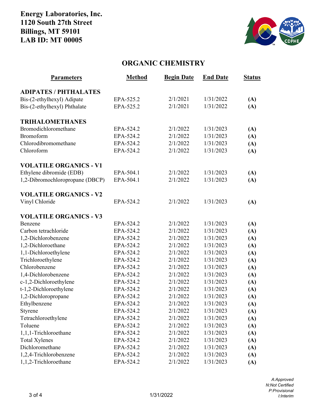#### **Energy Laboratories, Inc. 1120 South 27th Street Billings, MT 59101 LAB ID: MT 00005**



#### **ORGANIC CHEMISTRY**

| <b>Parameters</b>               | <b>Method</b> | <b>Begin Date</b> | <b>End Date</b> | <b>Status</b> |
|---------------------------------|---------------|-------------------|-----------------|---------------|
| <b>ADIPATES / PHTHALATES</b>    |               |                   |                 |               |
| Bis-(2-ethylhexyl) Adipate      | EPA-525.2     | 2/1/2021          | 1/31/2022       | (A)           |
| Bis-(2-ethylhexyl) Phthalate    | EPA-525.2     | 2/1/2021          | 1/31/2022       | (A)           |
|                                 |               |                   |                 |               |
| <b>TRIHALOMETHANES</b>          |               |                   |                 |               |
| Bromodichloromethane            | EPA-524.2     | 2/1/2022          | 1/31/2023       | (A)           |
| <b>Bromoform</b>                | EPA-524.2     | 2/1/2022          | 1/31/2023       | (A)           |
| Chlorodibromomethane            | EPA-524.2     | 2/1/2022          | 1/31/2023       | (A)           |
| Chloroform                      | EPA-524.2     | 2/1/2022          | 1/31/2023       | (A)           |
| <b>VOLATILE ORGANICS - V1</b>   |               |                   |                 |               |
| Ethylene dibromide (EDB)        | EPA-504.1     | 2/1/2022          | 1/31/2023       | (A)           |
| 1,2-Dibromochloropropane (DBCP) | EPA-504.1     | 2/1/2022          | 1/31/2023       | (A)           |
|                                 |               |                   |                 |               |
| <b>VOLATILE ORGANICS - V2</b>   |               |                   |                 |               |
| Vinyl Chloride                  | EPA-524.2     | 2/1/2022          | 1/31/2023       | (A)           |
| <b>VOLATILE ORGANICS - V3</b>   |               |                   |                 |               |
| Benzene                         | EPA-524.2     | 2/1/2022          | 1/31/2023       | (A)           |
| Carbon tetrachloride            | EPA-524.2     | 2/1/2022          | 1/31/2023       | (A)           |
| 1,2-Dichlorobenzene             | EPA-524.2     | 2/1/2022          | 1/31/2023       | (A)           |
| 1,2-Dichloroethane              | EPA-524.2     | 2/1/2022          | 1/31/2023       | (A)           |
| 1,1-Dichloroethylene            | EPA-524.2     | 2/1/2022          | 1/31/2023       | (A)           |
| Trichloroethylene               | EPA-524.2     | 2/1/2022          | 1/31/2023       | (A)           |
| Chlorobenzene                   | EPA-524.2     | 2/1/2022          | 1/31/2023       | (A)           |
| 1,4-Dichlorobenzene             | EPA-524.2     | 2/1/2022          | 1/31/2023       | (A)           |
| c-1,2-Dichloroethylene          | EPA-524.2     | 2/1/2022          | 1/31/2023       | (A)           |
| t-1,2-Dichloroethylene          | EPA-524.2     | 2/1/2022          | 1/31/2023       | (A)           |
| 1,2-Dichloropropane             | EPA-524.2     | 2/1/2022          | 1/31/2023       | (A)           |
| Ethylbenzene                    | EPA-524.2     | 2/1/2022          | 1/31/2023       | (A)           |
| Styrene                         | EPA-524.2     | 2/1/2022          | 1/31/2023       | (A)           |
| Tetrachloroethylene             | EPA-524.2     | 2/1/2022          | 1/31/2023       | (A)           |
| Toluene                         | EPA-524.2     | 2/1/2022          | 1/31/2023       | (A)           |
| 1,1,1-Trichloroethane           | EPA-524.2     | 2/1/2022          | 1/31/2023       | (A)           |
| <b>Total Xylenes</b>            | EPA-524.2     | 2/1/2022          | 1/31/2023       | (A)           |
| Dichloromethane                 | EPA-524.2     | 2/1/2022          | 1/31/2023       | (A)           |
| 1,2,4-Trichlorobenzene          | EPA-524.2     | 2/1/2022          | 1/31/2023       | (A)           |
| 1,1,2-Trichloroethane           | EPA-524.2     | 2/1/2022          | 1/31/2023       | (A)           |